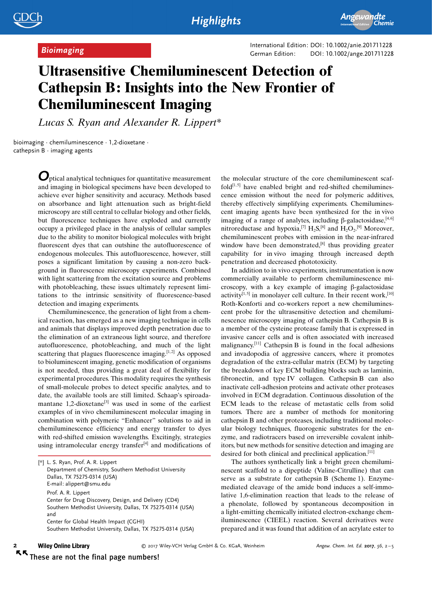Example 201711228 International Edition: DOI: 10.1002/anie.201711228<br>German Edition: DOI: [10.1002/ange.201711228](http://dx.doi.org/10.1002/ange.201711228)

## Ultrasensitive Chemiluminescent Detection of Cathepsin B: Insights into the New Frontier of Chemiluminescent Imaging

Lucas S. Ryan and Alexander R. Lippert\*

bioimaging · chemiluminescence · 1,2-dioxetane · cathepsin  $B \cdot$  imaging agents

> Optical analytical techniques for quantitative measurement and imaging in biological specimens have been developed to achieve ever higher sensitivity and accuracy. Methods based on absorbance and light attenuation such as bright-field microscopy are still central to cellular biology and other fields, but fluorescence techniques have exploded and currently occupy a privileged place in the analysis of cellular samples due to the ability to monitor biological molecules with bright fluorescent dyes that can outshine the autofluorescence of endogenous molecules. This autofluorescence, however, still poses a significant limitation by causing a non-zero background in fluorescence microscopy experiments. Combined with light scattering from the excitation source and problems with photobleaching, these issues ultimately represent limitations to the intrinsic sensitivity of fluorescence-based detection and imaging experiments.

> Chemiluminescence, the generation of light from a chemical reaction, has emerged as a new imaging technique in cells and animals that displays improved depth penetration due to the elimination of an extraneous light source, and therefore autofluorescence, photobleaching, and much of the light scattering that plagues fluorescence imaging. $[1,2]$  As opposed to bioluminescent imaging, genetic modification of organisms is not needed, thus providing a great deal of flexibility for experimental procedures. This modality requires the synthesis of small-molecule probes to detect specific analytes, and to date, the available tools are still limited. Schaap's spiroadamantane 1,2-dioxetane[3] was used in some of the earliest examples of in vivo chemiluminescent molecular imaging in combination with polymeric "Enhancer" solutions to aid in chemiluminescence efficiency and energy transfer to dyes with red-shifted emission wavelengths. Excitingly, strategies using intramolecular energy transfer $[4]$  and modifications of

the molecular structure of the core chemiluminescent scaffold $[1, 5]$  have enabled bright and red-shifted chemiluminescence emission without the need for polymeric additives, thereby effectively simplifying experiments. Chemiluminescent imaging agents have been synthesized for the in vivo imaging of a range of analytes, including  $\beta$ -galactosidase,<sup>[4,6]</sup> nitroreductase and hypoxia,<sup>[7]</sup>  $H_2S$ ,<sup>[8]</sup> and  $H_2O_2$ .<sup>[9]</sup> Moreover, chemiluminescent probes with emission in the near-infrared window have been demonstrated, $[8]$  thus providing greater capability for in vivo imaging through increased depth penetration and decreased phototoxicity.

In addition to in vivo experiments, instrumentation is now commercially available to perform chemiluminescence microscopy, with a key example of imaging  $\beta$ -galactosidase activity<sup>[1,5]</sup> in monolayer cell culture. In their recent work,<sup>[10]</sup> Roth-Konforti and co-workers report a new chemiluminescent probe for the ultrasensitive detection and chemiluminescence microscopy imaging of cathepsin B. Cathepsin B is a member of the cysteine protease family that is expressed in invasive cancer cells and is often associated with increased malignancy.[11] Cathepsin B is found in the focal adhesions and invadopodia of aggressive cancers, where it promotes degradation of the extra-cellular matrix (ECM) by targeting the breakdown of key ECM building blocks such as laminin, fibronectin, and type IV collagen. Cathepsin B can also inactivate cell-adhesion proteins and activate other proteases involved in ECM degradation. Continuous dissolution of the ECM leads to the release of metastatic cells from solid tumors. There are a number of methods for monitoring cathepsin B and other proteases, including traditional molecular biology techniques, fluorogenic substrates for the enzyme, and radiotracers based on irreversible covalent inhibitors, but new methods for sensitive detection and imaging are desired for both clinical and preclinical application.[11]

The authors synthetically link a bright green chemiluminescent scaffold to a dipeptide (Valine-Citrulline) that can serve as a substrate for cathepsin B (Scheme 1). Enzymemediated cleavage of the amide bond induces a self-immolative 1,6-elimination reaction that leads to the release of a phenolate, followed by spontaneous decomposition in a light-emitting chemically initiated electron-exchange chemiluminescence (CIEEL) reaction. Several derivatives were prepared and it was found that addition of an acrylate ester to

### **Wiley Online Library**  $\blacksquare$  $\kappa$

2017 Wiley-VCH Verlag GmbH & Co. KGaA, Weinheim Angew. Chem. Int. Ed. 2017, 56, 2–5

These are not the final page numbers!

<sup>[\*]</sup> L. S. Ryan, Prof. A. R. Lippert Department of Chemistry, Southern Methodist University Dallas, TX 75275-0314 (USA) E-mail: alippert@smu.edu Prof. A. R. Lippert Center for Drug Discovery, Design, and Delivery (CD4) Southern Methodist University, Dallas, TX 75275-0314 (USA) and Center for Global Health Impact (CGHI) Southern Methodist University, Dallas, TX 75275-0314 (USA)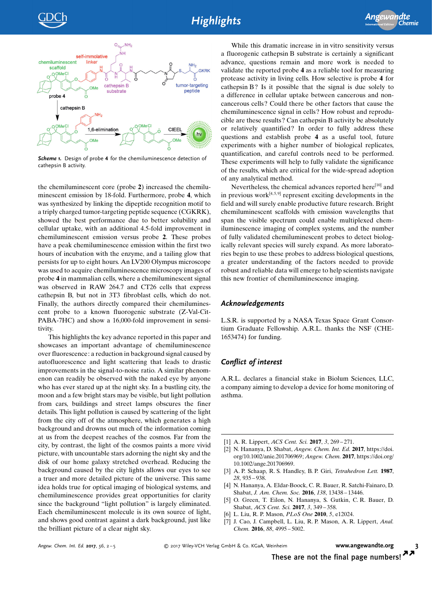

Scheme 1. Design of probe 4 for the chemiluminescence detection of cathepsin B activity.

the chemiluminescent core (probe 2) increased the chemiluminescent emission by 18-fold. Furthermore, probe 4, which was synthesized by linking the dipeptide recognition motif to a triply charged tumor-targeting peptide sequence (CGKRK), showed the best performance due to better solubility and cellular uptake, with an additional 4.5-fold improvement in chemiluminescent emission versus probe 2. These probes have a peak chemiluminescence emission within the first two hours of incubation with the enzyme, and a tailing glow that persists for up to eight hours. An LV200 Olympus microscope was used to acquire chemiluminescence microscopy images of probe 4 in mammalian cells, where a chemiluminescent signal was observed in RAW 264.7 and CT26 cells that express cathepsin B, but not in 3T3 fibroblast cells, which do not. Finally, the authors directly compared their chemiluminescent probe to a known fluorogenic substrate (Z-Val-Cit-PABA-7HC) and show a 16,000-fold improvement in sensitivity.

This highlights the key advance reported in this paper and showcases an important advantage of chemiluminescence over fluorescence: a reduction in background signal caused by autofluorescence and light scattering that leads to drastic improvements in the signal-to-noise ratio. A similar phenomenon can readily be observed with the naked eye by anyone who has ever stared up at the night sky. In a bustling city, the moon and a few bright stars may be visible, but light pollution from cars, buildings and street lamps obscures the finer details. This light pollution is caused by scattering of the light from the city off of the atmosphere, which generates a high background and drowns out much of the information coming at us from the deepest reaches of the cosmos. Far from the city, by contrast, the light of the cosmos paints a more vivid picture, with uncountable stars adorning the night sky and the disk of our home galaxy stretched overhead. Reducing the background caused by the city lights allows our eyes to see a truer and more detailed picture of the universe. This same idea holds true for optical imaging of biological systems, and chemiluminescence provides great opportunities for clarity since the background "light pollution" is largely eliminated. Each chemiluminescent molecule is its own source of light, and shows good contrast against a dark background, just like the brilliant picture of a clear night sky.

While this dramatic increase in in vitro sensitivity versus a fluorogenic cathepsin B substrate is certainly a significant advance, questions remain and more work is needed to validate the reported probe 4 as a reliable tool for measuring protease activity in living cells. How selective is probe 4 for cathepsin B? Is it possible that the signal is due solely to a difference in cellular uptake between cancerous and noncancerous cells? Could there be other factors that cause the chemiluminescence signal in cells? How robust and reproducible are these results? Can cathepsin B activity be absolutely or relatively quantified? In order to fully address these questions and establish probe 4 as a useful tool, future experiments with a higher number of biological replicates, quantification, and careful controls need to be performed. These experiments will help to fully validate the significance of the results, which are critical for the wide-spread adoption of any analytical method.

Nevertheless, the chemical advances reported here<sup>[10]</sup> and in previous work $[4, 5, 9]$  represent exciting developments in the field and will surely enable productive future research. Bright chemiluminescent scaffolds with emission wavelengths that span the visible spectrum could enable multiplexed chemiluminescence imaging of complex systems, and the number of fully validated chemiluminescent probes to detect biologically relevant species will surely expand. As more laboratories begin to use these probes to address biological questions, a greater understanding of the factors needed to provide robust and reliable data will emerge to help scientists navigate this new frontier of chemiluminescence imaging.

### Acknowledgements

L.S.R. is supported by a NASA Texas Space Grant Consortium Graduate Fellowship. A.R.L. thanks the NSF (CHE-1653474) for funding.

## Conflict of interest

A.R.L. declares a financial stake in Biolum Sciences, LLC, a company aiming to develop a device for home monitoring of asthma.

- [1] A. R. Lippert, *[ACS Cent. Sci.](https://doi.org/10.1021/acscentsci.7b00107)* **2017**, 3, 269-271.
- [2] N. Hananya, D. Shabat, Angew. Chem. Int. Ed. 2017, [https://doi.](https://doi.org/10.1002/anie.201706969) [org/10.1002/anie.201706969](https://doi.org/10.1002/anie.201706969); Angew. Chem. 2017, [https://doi.org/](https://doi.org/10.1002/ange.201706969) [10.1002/ange.201706969](https://doi.org/10.1002/ange.201706969).
- [3] A. P. Schaap, R. S. Handley, B. P. Giri, [Tetrahedron Lett.](https://doi.org/10.1016/S0040-4039(00)95878-7) 1987, 28[, 935 – 938.](https://doi.org/10.1016/S0040-4039(00)95878-7)
- [4] N. Hananya, A. Eldar-Boock, C. R. Bauer, R. Satchi-Fainaro, D. Shabat, [J. Am. Chem. Soc.](https://doi.org/10.1021/jacs.6b09173) 2016, 138, 13438 – 13446.
- [5] O. Green, T. Eilon, N. Hananya, S. Gutkin, C. R. Bauer, D. Shabat, [ACS Cent. Sci.](https://doi.org/10.1021/acscentsci.7b00058) 2017, 3, 349 – 358.
- [6] L. Liu, R. P. Mason, [PLoS One](https://doi.org/10.1371/journal.pone.0012024) 2010, 5, e12024.
- [7] J. Cao, J. Campbell, L. Liu, R. P. Mason, A. R. Lippert, [Anal.](https://doi.org/10.1021/acs.analchem.6b01096) Chem. 2016, 88[, 4995 – 5002](https://doi.org/10.1021/acs.analchem.6b01096).

Angew. Chem. Int. Ed. 2017,  $56$ ,  $2-5$ 

2017 Wiley-VCH Verlag GmbH & Co. KGaA, Weinheim [www.angewandte.org](http://www.angewandte.org) 3

These are not the final page numbers!  $\overline{\mathbf{z}}$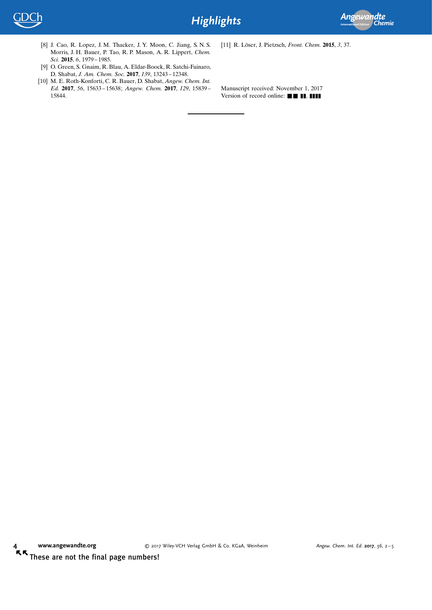

- [8] J. Cao, R. Lopez, J. M. Thacker, J. Y. Moon, C. Jiang, S. N. S. Morris, J. H. Bauer, P. Tao, R. P. Mason, A. R. Lippert, [Chem.](https://doi.org/10.1039/C4SC03516J) Sci. 2015, 6[, 1979 – 1985.](https://doi.org/10.1039/C4SC03516J)
- [9] O. Green, S. Gnaim, R. Blau, A. Eldar-Boock, R. Satchi-Fainaro, D. Shabat, [J. Am. Chem. Soc.](https://doi.org/10.1021/jacs.7b08446) 2017, 139, 13243 – 12348.
- [10] M. E. Roth-Konforti, C. R. Bauer, D. Shabat, Angew. Chem. Int. Ed. 2017, 56, 15633 – 15638; Angew. Chem. 2017, 129, 15839 – 15844.

[11] R. Löser, J. Pietzsch, Front. Chem. 2015, 3, 37.

Manuscript received: November 1, 2017 Version of record online:  $\blacksquare$   $\blacksquare$ ,  $\blacksquare$ 

KK These are not the final page numbers!